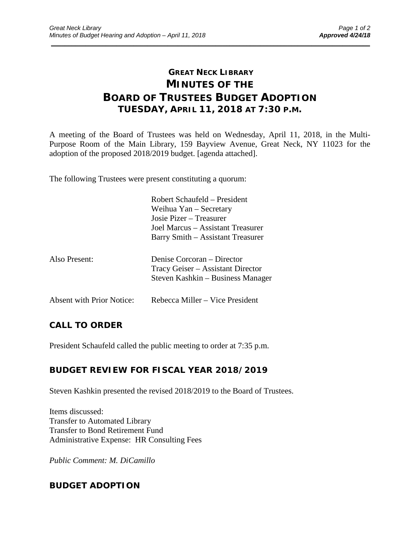# **GREAT NECK LIBRARY MINUTES OF THE BOARD OF TRUSTEES BUDGET ADOPTION TUESDAY, APRIL 11, 2018 AT 7:30 P.M.**

\_\_\_\_\_\_\_\_\_\_\_\_\_\_\_\_\_\_\_\_\_\_\_\_\_\_\_\_\_\_\_\_\_\_\_\_\_\_\_\_\_\_\_\_\_\_\_\_\_\_\_\_\_\_\_\_\_\_\_\_\_\_\_\_\_\_\_\_\_\_\_\_\_\_\_\_\_\_\_\_\_\_\_\_\_\_\_\_\_\_\_\_\_

A meeting of the Board of Trustees was held on Wednesday, April 11, 2018, in the Multi-Purpose Room of the Main Library, 159 Bayview Avenue, Great Neck, NY 11023 for the adoption of the proposed 2018/2019 budget. [agenda attached].

The following Trustees were present constituting a quorum:

|                           | Robert Schaufeld – President<br>Weihua Yan - Secretary<br>Josie Pizer – Treasurer<br>Joel Marcus – Assistant Treasurer<br>Barry Smith – Assistant Treasurer |
|---------------------------|-------------------------------------------------------------------------------------------------------------------------------------------------------------|
| Also Present:             | Denise Corcoran – Director<br>Tracy Geiser – Assistant Director<br>Steven Kashkin – Business Manager                                                        |
| Absent with Prior Notice: | Rebecca Miller – Vice President                                                                                                                             |

## **CALL TO ORDER**

President Schaufeld called the public meeting to order at 7:35 p.m.

# **BUDGET REVIEW FOR FISCAL YEAR 2018/2019**

Steven Kashkin presented the revised 2018/2019 to the Board of Trustees.

Items discussed: Transfer to Automated Library Transfer to Bond Retirement Fund Administrative Expense: HR Consulting Fees

*Public Comment: M. DiCamillo*

# **BUDGET ADOPTION**